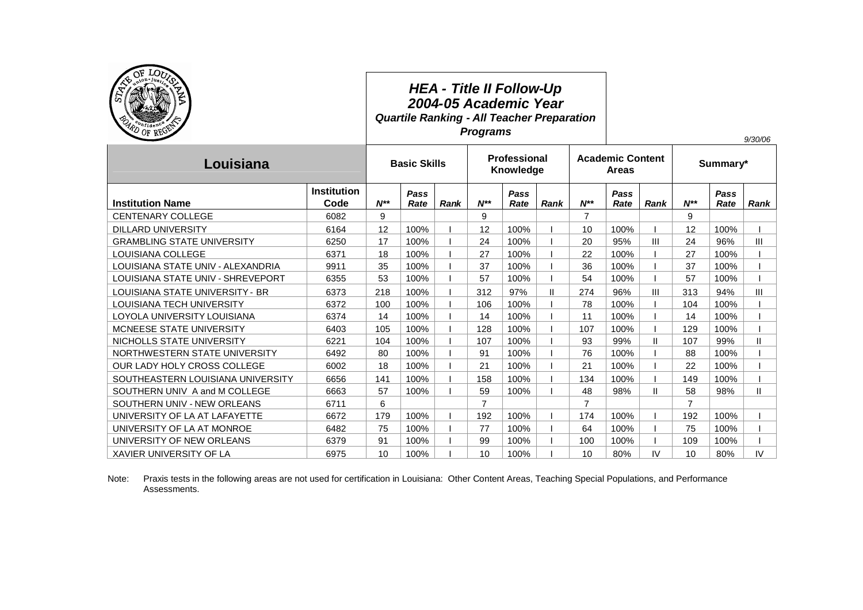| OF LO <sub>U</sub><br>ton Just<br>S<br>PD OF REGE |                            |                     | <b>HEA - Title II Follow-Up</b><br>2004-05 Academic Year<br><b>Quartile Ranking - All Teacher Preparation</b><br><b>Programs</b> |      |                           |              |               |                                         |              |               |                |              | 9/30/06     |
|---------------------------------------------------|----------------------------|---------------------|----------------------------------------------------------------------------------------------------------------------------------|------|---------------------------|--------------|---------------|-----------------------------------------|--------------|---------------|----------------|--------------|-------------|
| Louisiana                                         |                            | <b>Basic Skills</b> |                                                                                                                                  |      | Professional<br>Knowledge |              |               | <b>Academic Content</b><br><b>Areas</b> |              |               | Summary*       |              |             |
| <b>Institution Name</b>                           | <b>Institution</b><br>Code | $N^{**}$            | Pass<br>Rate                                                                                                                     | Rank | $N^{**}$                  | Pass<br>Rate | <b>Rank</b>   | $N^{**}$                                | Pass<br>Rate | <b>Rank</b>   | $N^{**}$       | Pass<br>Rate | <b>Rank</b> |
| <b>CENTENARY COLLEGE</b>                          | 6082                       | 9                   |                                                                                                                                  |      | 9                         |              |               | $\overline{7}$                          |              |               | 9              |              |             |
| <b>DILLARD UNIVERSITY</b>                         | 6164                       | 12                  | 100%                                                                                                                             |      | 12                        | 100%         |               | 10                                      | 100%         |               | 12             | 100%         |             |
| <b>GRAMBLING STATE UNIVERSITY</b>                 | 6250                       | 17                  | 100%                                                                                                                             |      | 24                        | 100%         |               | 20                                      | 95%          | Ш             | 24             | 96%          | Ш           |
| LOUISIANA COLLEGE                                 | 6371                       | 18                  | 100%                                                                                                                             |      | 27                        | 100%         |               | 22                                      | 100%         |               | 27             | 100%         |             |
| LOUISIANA STATE UNIV - ALEXANDRIA                 | 9911                       | 35                  | 100%                                                                                                                             |      | 37                        | 100%         |               | 36                                      | 100%         |               | 37             | 100%         |             |
| LOUISIANA STATE UNIV - SHREVEPORT                 | 6355                       | 53                  | 100%                                                                                                                             |      | 57                        | 100%         |               | 54                                      | 100%         |               | 57             | 100%         |             |
| LOUISIANA STATE UNIVERSITY - BR                   | 6373                       | 218                 | 100%                                                                                                                             |      | 312                       | 97%          | $\mathsf{II}$ | 274                                     | 96%          | Ш             | 313            | 94%          | Ш           |
| LOUISIANA TECH UNIVERSITY                         | 6372                       | 100                 | 100%                                                                                                                             |      | 106                       | 100%         |               | 78                                      | 100%         |               | 104            | 100%         |             |
| LOYOLA UNIVERSITY LOUISIANA                       | 6374                       | 14                  | 100%                                                                                                                             |      | 14                        | 100%         |               | 11                                      | 100%         |               | 14             | 100%         |             |
| MCNEESE STATE UNIVERSITY                          | 6403                       | 105                 | 100%                                                                                                                             |      | 128                       | 100%         |               | 107                                     | 100%         |               | 129            | 100%         |             |
| NICHOLLS STATE UNIVERSITY                         | 6221                       | 104                 | 100%                                                                                                                             |      | 107                       | 100%         |               | 93                                      | 99%          | Ш             | 107            | 99%          | Ш           |
| NORTHWESTERN STATE UNIVERSITY                     | 6492                       | 80                  | 100%                                                                                                                             |      | 91                        | 100%         |               | 76                                      | 100%         |               | 88             | 100%         |             |
| OUR LADY HOLY CROSS COLLEGE                       | 6002                       | 18                  | 100%                                                                                                                             |      | 21                        | 100%         |               | 21                                      | 100%         |               | 22             | 100%         |             |
| SOUTHEASTERN LOUISIANA UNIVERSITY                 | 6656                       | 141                 | 100%                                                                                                                             |      | 158                       | 100%         |               | 134                                     | 100%         |               | 149            | 100%         |             |
| SOUTHERN UNIV A and M COLLEGE                     | 6663                       | 57                  | 100%                                                                                                                             |      | 59                        | 100%         |               | 48                                      | 98%          | $\mathbf{II}$ | 58             | 98%          | Ш           |
| SOUTHERN UNIV - NEW ORLEANS                       | 6711                       | 6                   |                                                                                                                                  |      | $\overline{7}$            |              |               | $\overline{7}$                          |              |               | $\overline{7}$ |              |             |
| UNIVERSITY OF LA AT LAFAYETTE                     | 6672                       | 179                 | 100%                                                                                                                             |      | 192                       | 100%         |               | 174                                     | 100%         |               | 192            | 100%         |             |
| UNIVERSITY OF LA AT MONROE                        | 6482                       | 75                  | 100%                                                                                                                             |      | 77                        | 100%         |               | 64                                      | 100%         |               | 75             | 100%         |             |
| UNIVERSITY OF NEW ORLEANS                         | 6379                       | 91                  | 100%                                                                                                                             |      | 99                        | 100%         |               | 100                                     | 100%         |               | 109            | 100%         |             |
| <b>XAVIER UNIVERSITY OF LA</b>                    | 6975                       | 10                  | 100%                                                                                                                             |      | 10                        | 100%         |               | 10                                      | 80%          | IV            | 10             | 80%          | IV          |

Note: Praxis tests in the following areas are not used for certification in Louisiana: Other Content Areas, Teaching Special Populations, and Performance Assessments.